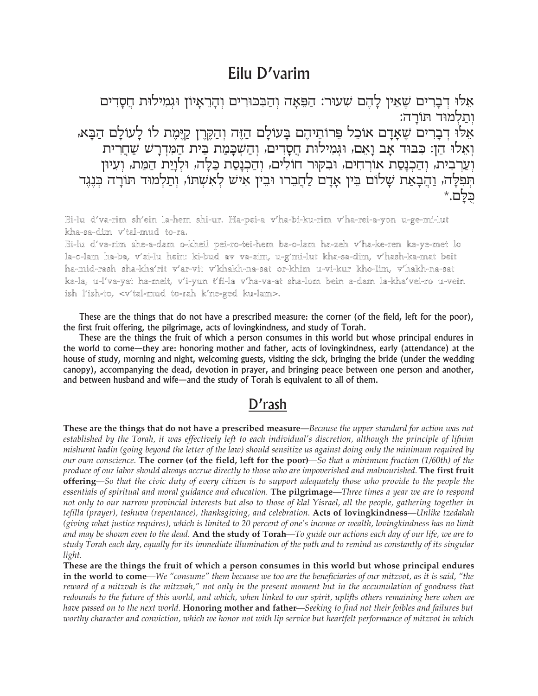## Eilu D'varim

אֵלוּ דְבָרִים שֶׁאֵין לָהֶם שִׁעוּר: הַפֵּאָה וְהַבְּכּוּרִים וְהָרֵאָיוֹן וּגִמִילוּת חֲסָדִים ותלמוד תורה: אֵלוּ דִבָרִים שֵׁאָדָם אוֹכֵל פֵרוֹתֵיהֶם בָעוֹלָם הַזֶּה וְהַקֶּרֶן קַיֶּמֶת לוֹ לָעוֹלָם הַבָּא, וְאָלוּ הֵן: כִבּוּד אָב וַאָם, וּגְמִילוּת חֵסַדִים, וְהַשְׁכַּמַת בֵּית הַמִּדְרַשׁ שַׁחֲרִית וְעַרְבִית, וְהַכְנַסַת אוֹרְחִים, וּבְקּוּר חוֹלִים, וְהַכְנַסַת כַּלַּה, וּלְוַיַת הַמֵּת, וְעִיּוּן תִפְלָה, וַהֵבְאַת שָלום בִּין אָדָם לַחֲבֵרו וּבִין אִיש לְאִשְתוּ, וְתַלְמוּד תּוֹרָה כְּנֶגֶד

Ei-lu d'va-rim sh'ein la-hem shi-ur. Ha-pei-a v'ha-bi-ku-rim v'ha-rei-a-yon u-ge-mi-lut kha-sa-dim v'tal-mud to-ra.

Ei-lu d'va-rim she-a-dam o-kheil pei-ro-tei-hem ba-o-lam ha-zeh v'ha-ke-ren ka-ye-met lo la-o-lam ha-ba, v'ei-lu hein: ki-bud av va-eim, u-g'mi-lut kha-sa-dim, v'hash-ka-mat beit ha-mid-rash sha-kha'rit v'ar-vit v'khakh-na-sat or-khim u-vi-kur kho-lim, v'hakh-na-sat ka-la, u-l'va-yat ha-meit, v'i-yun t'fi-la v'ha-va-at sha-lom bein a-dam la-kha'vei-ro u-vein ish l'ish-to, <v'tal-mud to-rah k'ne-ged ku-lam>.

These are the things that do not have a prescribed measure: the corner (of the field, left for the poor), the first fruit offering, the pilgrimage, acts of lovingkindness, and study of Torah.

These are the things the fruit of which a person consumes in this world but whose principal endures in the world to come—they are: honoring mother and father, acts of lovingkindness, early (attendance) at the house of study, morning and night, welcoming guests, visiting the sick, bringing the bride (under the wedding canopy), accompanying the dead, devotion in prayer, and bringing peace between one person and another, and between husband and wife—and the study of Torah is equivalent to all of them.

## D'rash

These are the things that do not have a prescribed measure—Because the upper standard for action was not established by the Torah, it was effectively left to each individual's discretion, although the principle of lifnim mishurat hadin (going beyond the letter of the law) should sensitize us against doing only the minimum required by our own conscience. The corner (of the field, left for the poor)—So that a minimum fraction  $(1/60th)$  of the produce of our labor should always accrue directly to those who are impoverished and malnourished. The first fruit offering—So that the civic duty of every citizen is to support adequately those who provide to the people the essentials of spiritual and moral guidance and education. The pilgrimage-Three times a year we are to respond not only to our narrow provincial interests but also to those of klal Yisrael, all the people, gathering together in tefilla (prayer), teshuva (repentance), thanksgiving, and celebration. Acts of lovingkindness—Unlike tzedakah (giving what justice requires), which is limited to 20 percent of one's income or wealth, lovingkindness has no limit and may be shown even to the dead. And the study of Torah—To guide our actions each day of our life, we are to study Torah each day, equally for its immediate illumination of the path and to remind us constantly of its singular light.

These are the things the fruit of which a person consumes in this world but whose principal endures in the world to come—We "consume" them because we too are the beneficiaries of our mitzvot, as it is said, "the reward of a mitzvah is the mitzvah," not only in the present moment but in the accumulation of goodness that redounds to the future of this world, and which, when linked to our spirit, uplifts others remaining here when we have passed on to the next world. Honoring mother and father—Seeking to find not their foibles and failures but worthy character and conviction, which we honor not with lip service but heartfelt performance of mitzvot in which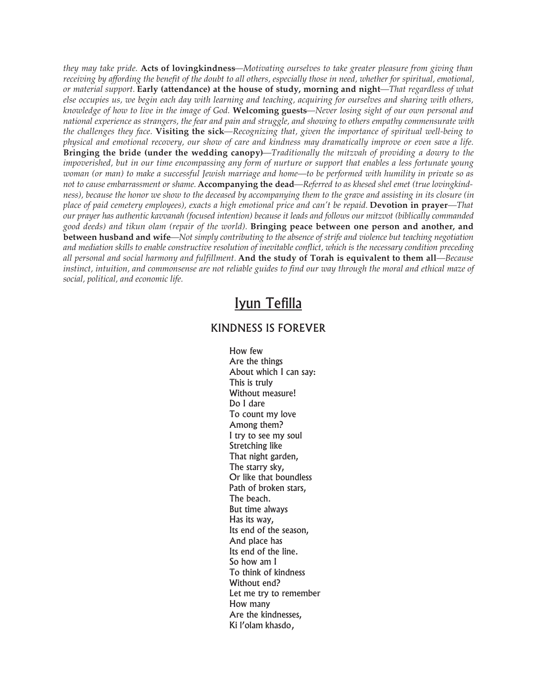*they may take pride.* **Acts of lovingkindness***—Motivating ourselves to take greater pleasure from giving than* receiving by affording the benefit of the doubt to all others, especially those in need, whether for spiritual, emotional, *or material support.* **Early (attendance) at the house of study, morning and night***—That regardless of what* else occupies us, we begin each day with learning and teaching, acquiring for ourselves and sharing with others, knowledge of how to live in the image of God. Welcoming guests—Never losing sight of our own personal and *national experience as strangers, the fear and pain and struggle, and showing to others empathy commensurate with the challenges they face.* **Visiting the sick***—Recognizing that, given the importance of spiritual well-being to* physical and emotional recovery, our show of care and kindness may dramatically improve or even save a life. **Bringing the bride (under the wedding canopy)***—Traditionally the mitzvah of providing a dowry to the* impoverished, but in our time encompassing any form of nurture or support that enables a less fortunate young woman (or man) to make a successful Jewish marriage and home—to be performed with humility in private so as not to cause embarrassment or shame. Accompanying the dead—Referred to as khesed shel emet (true lovingkindness), because the honor we show to the deceased by accompanying them to the grave and assisting in its closure (in place of paid cemetery employees), exacts a high emotional price and can't be repaid. Devotion in prayer—That our prayer has authentic kavvanah (focused intention) because it leads and follows our mitzvot (biblically commanded *good deeds) and tikun olam (repair of the world).* **Bringing peace between one person and another, and** between husband and wife—Not simply contributing to the absence of strife and violence but teaching negotiation and mediation skills to enable constructive resolution of inevitable conflict, which is the necessary condition preceding all personal and social harmony and fulfillment. And the study of Torah is equivalent to them all-Because instinct, intuition, and commonsense are not reliable guides to find our way through the moral and ethical maze of *social, political, and economic life.*

## Iyun Tefilla

## KINDNESS IS FOREVER

How few Are the things About which I can say: This is truly Without measure! Do I dare To count my love Among them? I try to see my soul Stretching like That night garden, The starry sky, Or like that boundless Path of broken stars, The beach. But time always Has its way, Its end of the season, And place has Its end of the line. So how am I To think of kindness Without end? Let me try to remember How many Are the kindnesses, Ki l'olam khasdo,